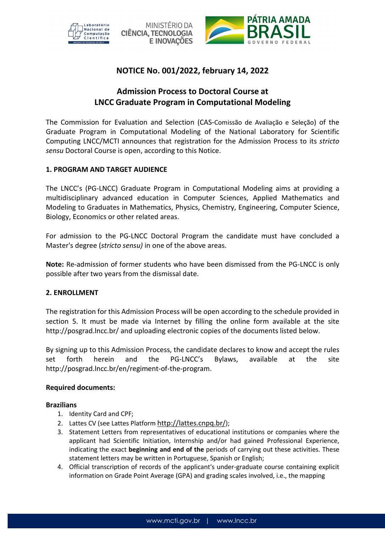



# **NOTICE No. 001/2022, february 14, 2022**

# **Admission Process to Doctoral Course at LNCC Graduate Program in Computational Modeling**

The Commission for Evaluation and Selection (CAS-Comissão de Avaliação e Seleção) of the Graduate Program in Computational Modeling of the National Laboratory for Scientific Computing LNCC/MCTI announces that registration for the Admission Process to its *stricto sensu* Doctoral Course is open, according to this Notice.

### **1. PROGRAM AND TARGET AUDIENCE**

The LNCC's (PG-LNCC) Graduate Program in Computational Modeling aims at providing a multidisciplinary advanced education in Computer Sciences, Applied Mathematics and Modeling to Graduates in Mathematics, Physics, Chemistry, Engineering, Computer Science, Biology, Economics or other related areas.

For admission to the PG-LNCC Doctoral Program the candidate must have concluded a Master's degree (*stricto sensu)* in one of the above areas.

**Note:** Re-admission of former students who have been dismissed from the PG-LNCC is only possible after two years from the dismissal date.

#### **2. ENROLLMENT**

The registration for this Admission Process will be open according to the schedule provided in section 5. It must be made via Internet by filling the online form available at the site http://posgrad.lncc.br/ and uploading electronic copies of the documents listed below.

By signing up to this Admission Process, the candidate declares to know and accept the rules set forth herein and the PG-LNCC's Bylaws, available at the site http://posgrad.lncc.br/en/regiment-of-the-program.

#### **Required documents:**

#### **Brazilians**

- 1. Identity Card and CPF;
- 2. Lattes CV (see Lattes Platform http://lattes.cnpq.br/);
- 3. Statement Letters from representatives of educational institutions or companies where the applicant had Scientific Initiation, Internship and/or had gained Professional Experience, indicating the exact **beginning and end of the** periods of carrying out these activities. These statement letters may be written in Portuguese, Spanish or English;
- 4. Official transcription of records of the applicant's under-graduate course containing explicit information on Grade Point Average (GPA) and grading scales involved, i.e., the mapping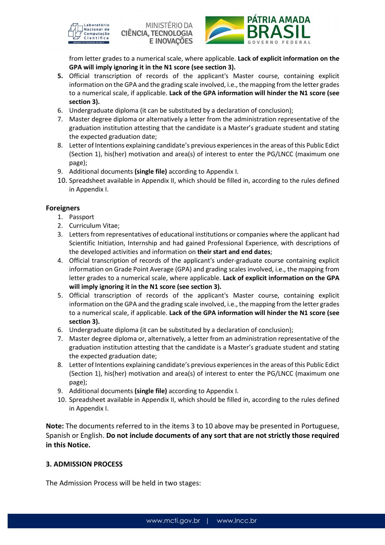





from letter grades to a numerical scale, where applicable. **Lack of explicit information on the GPA will imply ignoring it in the N1 score (see section 3).** 

- **5.** Official transcription of records of the applicant's Master course, containing explicit information on the GPA and the grading scale involved, i.e., the mapping from the letter grades to a numerical scale, if applicable. **Lack of the GPA information will hinder the N1 score (see section 3).**
- 6. Undergraduate diploma (it can be substituted by a declaration of conclusion);
- 7. Master degree diploma or alternatively a letter from the administration representative of the graduation institution attesting that the candidate is a Master's graduate student and stating the expected graduation date;
- 8. Letter of Intentions explaining candidate's previous experiences in the areas of this Public Edict (Section 1), his(her) motivation and area(s) of interest to enter the PG/LNCC (maximum one page);
- 9. Additional documents **(single file)** according to Appendix I.
- 10. Spreadsheet available in Appendix II, which should be filled in, according to the rules defined in Appendix I.

### **Foreigners**

- 1. Passport
- 2. Curriculum Vitae;
- 3. Letters from representatives of educational institutions or companies where the applicant had Scientific Initiation, Internship and had gained Professional Experience, with descriptions of the developed activities and information on **their start and end dates**;
- 4. Official transcription of records of the applicant's under-graduate course containing explicit information on Grade Point Average (GPA) and grading scales involved, i.e., the mapping from letter grades to a numerical scale, where applicable. **Lack of explicit information on the GPA will imply ignoring it in the N1 score (see section 3).**
- 5. Official transcription of records of the applicant's Master course, containing explicit information on the GPA and the grading scale involved, i.e., the mapping from the letter grades to a numerical scale, if applicable. **Lack of the GPA information will hinder the N1 score (see section 3).**
- 6. Undergraduate diploma (it can be substituted by a declaration of conclusion);
- 7. Master degree diploma or, alternatively, a letter from an administration representative of the graduation institution attesting that the candidate is a Master's graduate student and stating the expected graduation date;
- 8. Letter of Intentions explaining candidate's previous experiences in the areas of this Public Edict (Section 1), his(her) motivation and area(s) of interest to enter the PG/LNCC (maximum one page);
- 9. Additional documents **(single file)** according to Appendix I.
- 10. Spreadsheet available in Appendix II, which should be filled in, according to the rules defined in Appendix I.

**Note:** The documents referred to in the items 3 to 10 above may be presented in Portuguese, Spanish or English. **Do not include documents of any sort that are not strictly those required in this Notice.** 

#### **3. ADMISSION PROCESS**

The Admission Process will be held in two stages: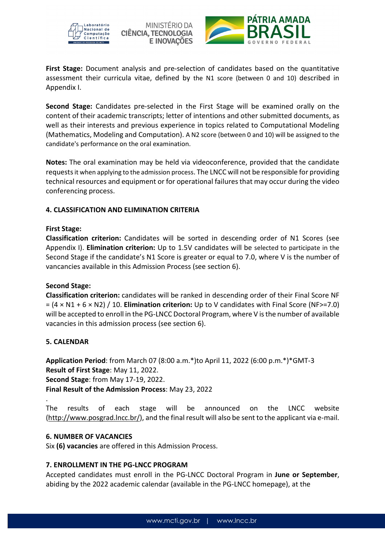

MINISTÉRIO DA **CIÊNCIA, TECNOLOGIA E INOVACÕES** 



**First Stage:** Document analysis and pre-selection of candidates based on the quantitative assessment their curricula vitae, defined by the N1 score (between 0 and 10) described in Appendix I.

**Second Stage:** Candidates pre-selected in the First Stage will be examined orally on the content of their academic transcripts; letter of intentions and other submitted documents, as well as their interests and previous experience in topics related to Computational Modeling (Mathematics, Modeling and Computation). A N2 score (between 0 and 10) will be assigned to the candidate's performance on the oral examination.

**Notes:** The oral examination may be held via videoconference, provided that the candidate requests it when applying to the admission process. The LNCC will not be responsible for providing technical resources and equipment or for operational failures that may occur during the video conferencing process.

## **4. CLASSIFICATION AND ELIMINATION CRITERIA**

#### **First Stage:**

**Classification criterion:** Candidates will be sorted in descending order of N1 Scores (see Appendix I). **Elimination criterion:** Up to 1.5V candidates will be selected to participate in the Second Stage if the candidate's N1 Score is greater or equal to 7.0, where V is the number of vancancies available in this Admission Process (see section 6).

#### **Second Stage:**

**Classification criterion:** candidates will be ranked in descending order of their Final Score NF = (4 × N1 + 6 × N2) / 10. **Elimination criterion:** Up to V candidates with Final Score (NF>=7.0) will be accepted to enroll in the PG-LNCC Doctoral Program, where V is the number of available vacancies in this admission process (see section 6).

#### **5. CALENDAR**

**Application Period**: from March 07 (8:00 a.m.\*)to April 11, 2022 (6:00 p.m.\*)\*GMT-3 **Result of First Stage**: May 11, 2022. **Second Stage**: from May 17-19, 2022. **Final Result of the Admission Process**: May 23, 2022 .

The results of each stage will be announced on the LNCC website (http://www.posgrad.lncc.br/), and the final result will also be sent to the applicant via e-mail.

#### **6. NUMBER OF VACANCIES**

Six **(6) vacancies** are offered in this Admission Process.

#### **7. ENROLLMENT IN THE PG-LNCC PROGRAM**

Accepted candidates must enroll in the PG-LNCC Doctoral Program in **June or September**, abiding by the 2022 academic calendar (available in the PG-LNCC homepage), at the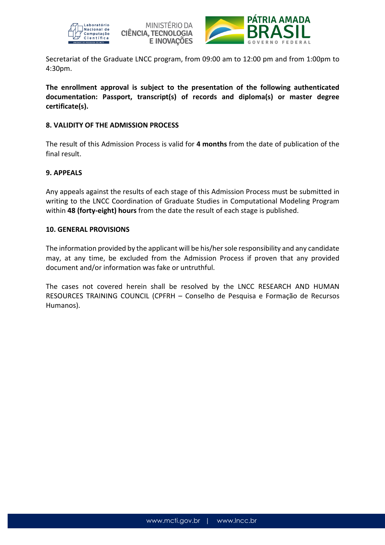





Secretariat of the Graduate LNCC program, from 09:00 am to 12:00 pm and from 1:00pm to 4:30pm.

**The enrollment approval is subject to the presentation of the following authenticated documentation: Passport, transcript(s) of records and diploma(s) or master degree certificate(s).** 

#### **8. VALIDITY OF THE ADMISSION PROCESS**

The result of this Admission Process is valid for **4 months** from the date of publication of the final result.

### **9. APPEALS**

Any appeals against the results of each stage of this Admission Process must be submitted in writing to the LNCC Coordination of Graduate Studies in Computational Modeling Program within **48 (forty-eight) hours** from the date the result of each stage is published.

#### **10. GENERAL PROVISIONS**

The information provided by the applicant will be his/her sole responsibility and any candidate may, at any time, be excluded from the Admission Process if proven that any provided document and/or information was fake or untruthful.

The cases not covered herein shall be resolved by the LNCC RESEARCH AND HUMAN RESOURCES TRAINING COUNCIL (CPFRH – Conselho de Pesquisa e Formação de Recursos Humanos).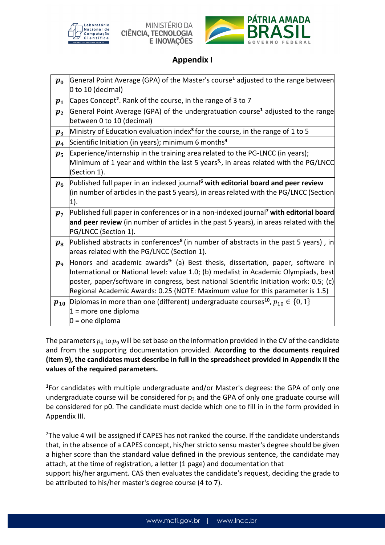

MINISTÉRIO DA **CIÊNCIA, TECNOLOGIA** E INOVAÇÕES



# **Appendix I**

| $\boldsymbol{p_0}$ | General Point Average (GPA) of the Master's course <sup>1</sup> adjusted to the range between<br>$ 0 \text{ to } 10 \text{ (decimal)} $         |  |  |
|--------------------|-------------------------------------------------------------------------------------------------------------------------------------------------|--|--|
| $p_{1}$            | Capes Concept <sup>2</sup> . Rank of the course, in the range of 3 to 7                                                                         |  |  |
| $p_2$              | General Point Average (GPA) of the undergratuation course <sup>1</sup> adjusted to the range<br>between 0 to 10 (decimal)                       |  |  |
| $\boldsymbol{p}_3$ | Ministry of Education evaluation index <sup>3</sup> for the course, in the range of 1 to 5                                                      |  |  |
| $p_{4}$            | Scientific Initiation (in years); minimum 6 months <sup>4</sup>                                                                                 |  |  |
| $p_{5}$            | Experience/internship in the training area related to the PG-LNCC (in years);                                                                   |  |  |
|                    | Minimum of 1 year and within the last 5 years <sup>5</sup> , in areas related with the PG/LNCC<br>(Section 1).                                  |  |  |
| $\boldsymbol{p_6}$ | Published full paper in an indexed journal <sup>6</sup> with editorial board and peer review                                                    |  |  |
|                    | (in number of articles in the past 5 years), in areas related with the PG/LNCC (Section                                                         |  |  |
|                    | (1).                                                                                                                                            |  |  |
| $p_7$              | Published full paper in conferences or in a non-indexed journal <sup>7</sup> with editorial board                                               |  |  |
|                    | and peer review (in number of articles in the past 5 years), in areas related with the                                                          |  |  |
|                    | PG/LNCC (Section 1).                                                                                                                            |  |  |
| $p_8$              | Published abstracts in conferences <sup>8</sup> (in number of abstracts in the past 5 years), in<br>areas related with the PG/LNCC (Section 1). |  |  |
| $p_{9}$            | Honors and academic awards <sup>9:</sup> (a) Best thesis, dissertation, paper, software in                                                      |  |  |
|                    | International or National level: value 1.0; (b) medalist in Academic Olympiads, best                                                            |  |  |
|                    | poster, paper/software in congress, best national Scientific Initiation work: 0.5; (c)                                                          |  |  |
|                    | Regional Academic Awards: 0.25 (NOTE: Maximum value for this parameter is 1.5)                                                                  |  |  |
| $p_{10}$           | Diplomas in more than one (different) undergraduate courses <sup>10</sup> , $p_{10} \in \{0, 1\}$                                               |  |  |
|                    | $1 =$ more one diploma                                                                                                                          |  |  |
|                    | $0 =$ one diploma                                                                                                                               |  |  |

The parameters  $p_4$  to  $p_9$  will be set base on the information provided in the CV of the candidate and from the supporting documentation provided*.* **According to the documents required (item 9), the candidates must describe in full in the spreadsheet provided in Appendix II the values of the required parameters.** 

**<sup>1</sup>**For candidates with multiple undergraduate and/or Master's degrees: the GPA of only one undergraduate course will be considered for  $p_2$  and the GPA of only one graduate course will be considered for p0. The candidate must decide which one to fill in in the form provided in Appendix III.

<sup>2</sup>The value 4 will be assigned if CAPES has not ranked the course. If the candidate understands that, in the absence of a CAPES concept, his/her stricto sensu master's degree should be given a higher score than the standard value defined in the previous sentence, the candidate may attach, at the time of registration, a letter (1 page) and documentation that

support his/her argument. CAS then evaluates the candidate's request, deciding the grade to be attributed to his/her master's degree course (4 to 7).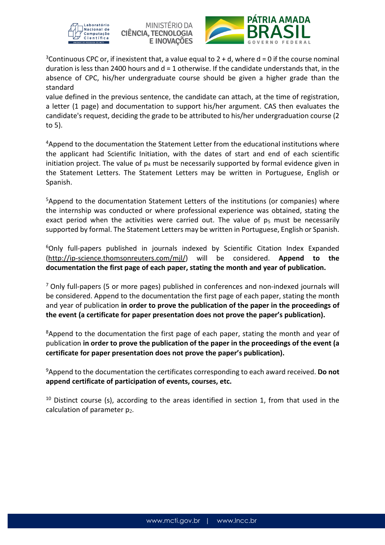





<sup>3</sup> Continuous CPC or, if inexistent that, a value equal to  $2 + d$ , where  $d = 0$  if the course nominal duration is less than 2400 hours and  $d = 1$  otherwise. If the candidate understands that, in the absence of CPC, his/her undergraduate course should be given a higher grade than the standard

value defined in the previous sentence, the candidate can attach, at the time of registration, a letter (1 page) and documentation to support his/her argument. CAS then evaluates the candidate's request, deciding the grade to be attributed to his/her undergraduation course (2 to 5).

<sup>4</sup>Append to the documentation the Statement Letter from the educational institutions where the applicant had Scientific Initiation, with the dates of start and end of each scientific initiation project. The value of  $p_4$  must be necessarily supported by formal evidence given in the Statement Letters. The Statement Letters may be written in Portuguese, English or Spanish.

<sup>5</sup>Append to the documentation Statement Letters of the institutions (or companies) where the internship was conducted or where professional experience was obtained, stating the exact period when the activities were carried out. The value of  $p_5$  must be necessarily supported by formal. The Statement Letters may be written in Portuguese, English or Spanish.

<sup>6</sup>Only full-papers published in journals indexed by Scientific Citation Index Expanded (http://ip-science.thomsonreuters.com/mjl/) will be considered. **Append to the documentation the first page of each paper, stating the month and year of publication.** 

<sup>7</sup> Only full-papers (5 or more pages) published in conferences and non-indexed journals will be considered. Append to the documentation the first page of each paper, stating the month and year of publication **in order to prove the publication of the paper in the proceedings of the event (a certificate for paper presentation does not prove the paper's publication).** 

<sup>8</sup>Append to the documentation the first page of each paper, stating the month and year of publication **in order to prove the publication of the paper in the proceedings of the event (a certificate for paper presentation does not prove the paper's publication).** 

<sup>9</sup>Append to the documentation the certificates corresponding to each award received. **Do not append certificate of participation of events, courses, etc.** 

 $10$  Distinct course (s), according to the areas identified in section 1, from that used in the calculation of parameter p2.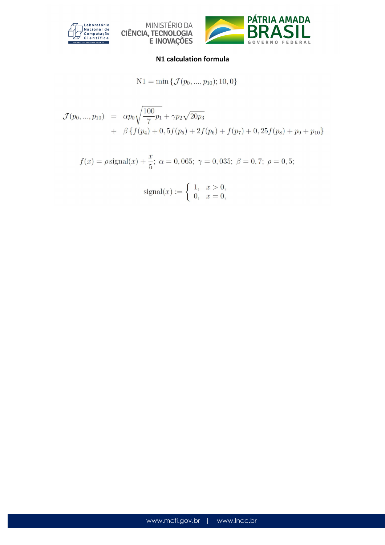





#### **N1 calculation formula**

$$
N1 = \min \{ \mathcal{J}(p_0, ..., p_{10}); 10, 0 \}
$$

$$
\mathcal{J}(p_0, ..., p_{10}) = \alpha p_0 \sqrt{\frac{100}{7}p_1} + \gamma p_2 \sqrt{20p_3} \n+ \beta \{f(p_4) + 0, 5f(p_5) + 2f(p_6) + f(p_7) + 0, 25f(p_8) + p_9 + p_{10}\}
$$

$$
f(x) = \rho \text{signal}(x) + \frac{x}{5}
$$
;  $\alpha = 0,065$ ;  $\gamma = 0,035$ ;  $\beta = 0,7$ ;  $\rho = 0,5$ ;

$$
signal(x) := \begin{cases} 1, & x > 0, \\ 0, & x = 0, \end{cases}
$$